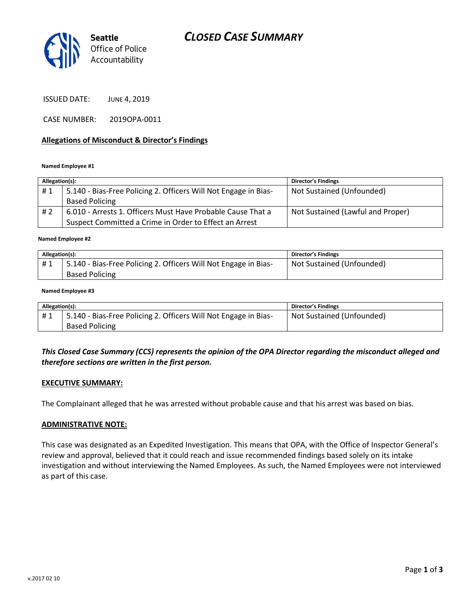# *CLOSED CASE SUMMARY*



ISSUED DATE: JUNE 4, 2019

CASE NUMBER: 2019OPA-0011

### **Allegations of Misconduct & Director's Findings**

#### **Named Employee #1**

| Allegation(s): |                                                                 | Director's Findings               |
|----------------|-----------------------------------------------------------------|-----------------------------------|
| #1             | 5.140 - Bias-Free Policing 2. Officers Will Not Engage in Bias- | Not Sustained (Unfounded)         |
|                | <b>Based Policing</b>                                           |                                   |
| #2             | 6.010 - Arrests 1. Officers Must Have Probable Cause That a     | Not Sustained (Lawful and Proper) |
|                | Suspect Committed a Crime in Order to Effect an Arrest          |                                   |

#### ؚ<br>ا **Named Employee #2**

| Allegation(s): |                                                                 | <b>Director's Findings</b> |
|----------------|-----------------------------------------------------------------|----------------------------|
| #1             | 5.140 - Bias-Free Policing 2. Officers Will Not Engage in Bias- | Not Sustained (Unfounded)  |
|                | <b>Based Policing</b>                                           |                            |

#### **Named Employee #3**

| Allegation(s): |                                                                 | Director's Findings       |
|----------------|-----------------------------------------------------------------|---------------------------|
| #1             | 5.140 - Bias-Free Policing 2. Officers Will Not Engage in Bias- | Not Sustained (Unfounded) |
|                | <b>Based Policing</b>                                           |                           |

## *This Closed Case Summary (CCS) represents the opinion of the OPA Director regarding the misconduct alleged and therefore sections are written in the first person.*

#### **EXECUTIVE SUMMARY:**

The Complainant alleged that he was arrested without probable cause and that his arrest was based on bias.

### **ADMINISTRATIVE NOTE:**

This case was designated as an Expedited Investigation. This means that OPA, with the Office of Inspector General's review and approval, believed that it could reach and issue recommended findings based solely on its intake investigation and without interviewing the Named Employees. As such, the Named Employees were not interviewed as part of this case.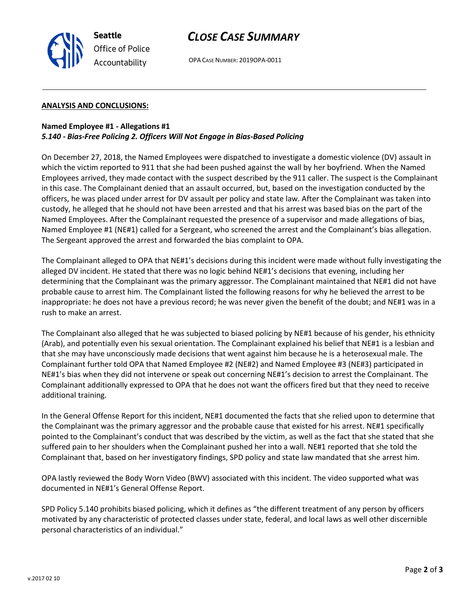

# *CLOSE CASE SUMMARY*

OPA CASE NUMBER: 2019OPA-0011

### **ANALYSIS AND CONCLUSIONS:**

# **Named Employee #1 - Allegations #1** *5.140 - Bias-Free Policing 2. Officers Will Not Engage in Bias-Based Policing*

On December 27, 2018, the Named Employees were dispatched to investigate a domestic violence (DV) assault in which the victim reported to 911 that she had been pushed against the wall by her boyfriend. When the Named Employees arrived, they made contact with the suspect described by the 911 caller. The suspect is the Complainant in this case. The Complainant denied that an assault occurred, but, based on the investigation conducted by the officers, he was placed under arrest for DV assault per policy and state law. After the Complainant was taken into custody, he alleged that he should not have been arrested and that his arrest was based bias on the part of the Named Employees. After the Complainant requested the presence of a supervisor and made allegations of bias, Named Employee #1 (NE#1) called for a Sergeant, who screened the arrest and the Complainant's bias allegation. The Sergeant approved the arrest and forwarded the bias complaint to OPA.

The Complainant alleged to OPA that NE#1's decisions during this incident were made without fully investigating the alleged DV incident. He stated that there was no logic behind NE#1's decisions that evening, including her determining that the Complainant was the primary aggressor. The Complainant maintained that NE#1 did not have probable cause to arrest him. The Complainant listed the following reasons for why he believed the arrest to be inappropriate: he does not have a previous record; he was never given the benefit of the doubt; and NE#1 was in a rush to make an arrest.

The Complainant also alleged that he was subjected to biased policing by NE#1 because of his gender, his ethnicity (Arab), and potentially even his sexual orientation. The Complainant explained his belief that NE#1 is a lesbian and that she may have unconsciously made decisions that went against him because he is a heterosexual male. The Complainant further told OPA that Named Employee #2 (NE#2) and Named Employee #3 (NE#3) participated in NE#1's bias when they did not intervene or speak out concerning NE#1's decision to arrest the Complainant. The Complainant additionally expressed to OPA that he does not want the officers fired but that they need to receive additional training.

In the General Offense Report for this incident, NE#1 documented the facts that she relied upon to determine that the Complainant was the primary aggressor and the probable cause that existed for his arrest. NE#1 specifically pointed to the Complainant's conduct that was described by the victim, as well as the fact that she stated that she suffered pain to her shoulders when the Complainant pushed her into a wall. NE#1 reported that she told the Complainant that, based on her investigatory findings, SPD policy and state law mandated that she arrest him.

OPA lastly reviewed the Body Worn Video (BWV) associated with this incident. The video supported what was documented in NE#1's General Offense Report.

SPD Policy 5.140 prohibits biased policing, which it defines as "the different treatment of any person by officers motivated by any characteristic of protected classes under state, federal, and local laws as well other discernible personal characteristics of an individual."